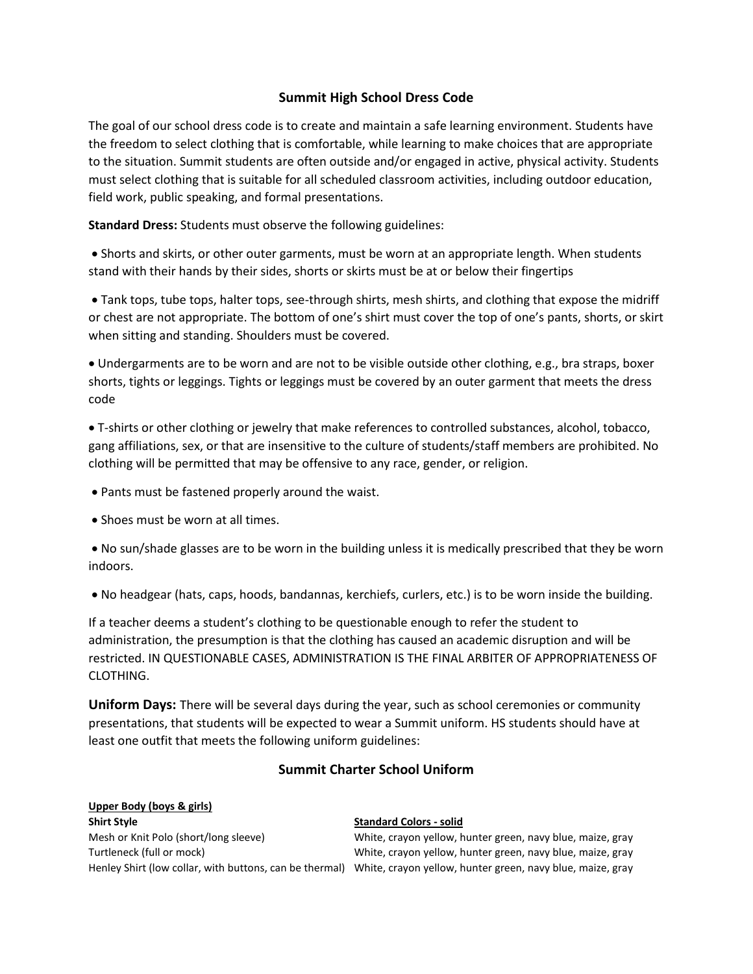## **Summit High School Dress Code**

The goal of our school dress code is to create and maintain a safe learning environment. Students have the freedom to select clothing that is comfortable, while learning to make choices that are appropriate to the situation. Summit students are often outside and/or engaged in active, physical activity. Students must select clothing that is suitable for all scheduled classroom activities, including outdoor education, field work, public speaking, and formal presentations.

**Standard Dress:** Students must observe the following guidelines:

 Shorts and skirts, or other outer garments, must be worn at an appropriate length. When students stand with their hands by their sides, shorts or skirts must be at or below their fingertips

 Tank tops, tube tops, halter tops, see-through shirts, mesh shirts, and clothing that expose the midriff or chest are not appropriate. The bottom of one's shirt must cover the top of one's pants, shorts, or skirt when sitting and standing. Shoulders must be covered.

 Undergarments are to be worn and are not to be visible outside other clothing, e.g., bra straps, boxer shorts, tights or leggings. Tights or leggings must be covered by an outer garment that meets the dress code

 T-shirts or other clothing or jewelry that make references to controlled substances, alcohol, tobacco, gang affiliations, sex, or that are insensitive to the culture of students/staff members are prohibited. No clothing will be permitted that may be offensive to any race, gender, or religion.

Pants must be fastened properly around the waist.

• Shoes must be worn at all times.

 No sun/shade glasses are to be worn in the building unless it is medically prescribed that they be worn indoors.

No headgear (hats, caps, hoods, bandannas, kerchiefs, curlers, etc.) is to be worn inside the building.

If a teacher deems a student's clothing to be questionable enough to refer the student to administration, the presumption is that the clothing has caused an academic disruption and will be restricted. IN QUESTIONABLE CASES, ADMINISTRATION IS THE FINAL ARBITER OF APPROPRIATENESS OF CLOTHING.

**Uniform Days:** There will be several days during the year, such as school ceremonies or community presentations, that students will be expected to wear a Summit uniform. HS students should have at least one outfit that meets the following uniform guidelines:

# **Summit Charter School Uniform**

# **Upper Body (boys & girls)**

## **Shirt Style Standard Colors - solid**

Mesh or Knit Polo (short/long sleeve) White, crayon yellow, hunter green, navy blue, maize, gray Turtleneck (full or mock) White, crayon yellow, hunter green, navy blue, maize, gray Henley Shirt (low collar, with buttons, can be thermal) White, crayon yellow, hunter green, navy blue, maize, gray